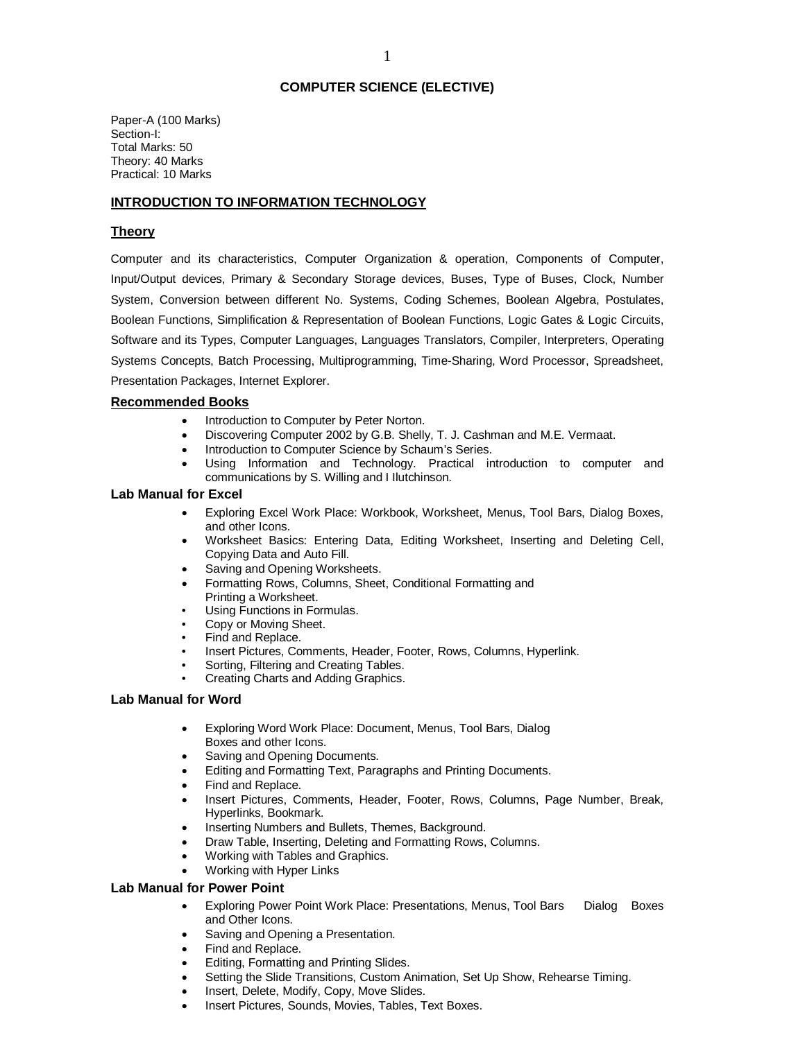## **COMPUTER SCIENCE (ELECTIVE)**

Paper-A (100 Marks) Section-I: Total Marks: 50 Theory: 40 Marks Practical: 10 Marks

# **INTRODUCTION TO INFORMATION TECHNOLOGY**

## **Theory**

Computer and its characteristics, Computer Organization & operation, Components of Computer, Input/Output devices, Primary & Secondary Storage devices, Buses, Type of Buses, Clock, Number System, Conversion between different No. Systems, Coding Schemes, Boolean Algebra, Postulates, Boolean Functions, Simplification & Representation of Boolean Functions, Logic Gates & Logic Circuits, Software and its Types, Computer Languages, Languages Translators, Compiler, Interpreters, Operating Systems Concepts, Batch Processing, Multiprogramming, Time-Sharing, Word Processor, Spreadsheet, Presentation Packages, Internet Explorer.

### **Recommended Books**

- Introduction to Computer by Peter Norton.
- Discovering Computer 2002 by G.B. Shelly, T. J. Cashman and M.E. Vermaat.
- Introduction to Computer Science by Schaum's Series.
- Using Information and Technology. Practical introduction to computer and communications by S. Willing and I Ilutchinson.

### **Lab Manual for Excel**

- Exploring Excel Work Place: Workbook, Worksheet, Menus, Tool Bars, Dialog Boxes, and other Icons.
- Worksheet Basics: Entering Data, Editing Worksheet, Inserting and Deleting Cell, Copying Data and Auto Fill.
- Saving and Opening Worksheets.
- Formatting Rows, Columns, Sheet, Conditional Formatting and Printing a Worksheet.
- Using Functions in Formulas.
- Copy or Moving Sheet.
- Find and Replace.
- Insert Pictures, Comments, Header, Footer, Rows, Columns, Hyperlink.
- Sorting, Filtering and Creating Tables.
- Creating Charts and Adding Graphics.

### **Lab Manual for Word**

- Exploring Word Work Place: Document, Menus, Tool Bars, Dialog Boxes and other Icons.
- Saving and Opening Documents.
- Editing and Formatting Text, Paragraphs and Printing Documents.
- Find and Replace.
- Insert Pictures, Comments, Header, Footer, Rows, Columns, Page Number, Break, Hyperlinks, Bookmark.
- Inserting Numbers and Bullets, Themes, Background.
- Draw Table, Inserting, Deleting and Formatting Rows, Columns.
- Working with Tables and Graphics.
- Working with Hyper Links

### **Lab Manual for Power Point**

- Exploring Power Point Work Place: Presentations, Menus, Tool Bars Dialog Boxes and Other Icons.
- Saving and Opening a Presentation.
- Find and Replace.
- Editing, Formatting and Printing Slides.
- Setting the Slide Transitions, Custom Animation, Set Up Show, Rehearse Timing.
- Insert, Delete, Modify, Copy, Move Slides.
- Insert Pictures, Sounds, Movies, Tables, Text Boxes.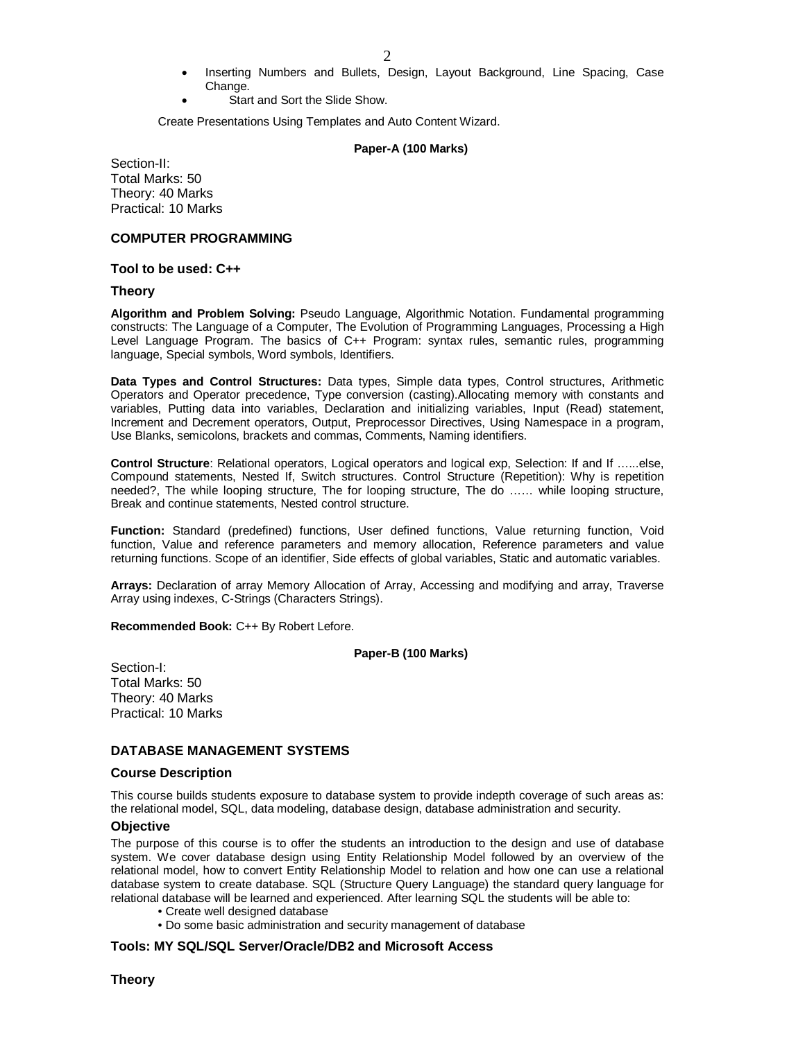- Inserting Numbers and Bullets, Design, Layout Background, Line Spacing, Case Change.
	- Start and Sort the Slide Show.

Create Presentations Using Templates and Auto Content Wizard.

#### **Paper-A (100 Marks)**

Section-II: Total Marks: 50 Theory: 40 Marks Practical: 10 Marks

### **COMPUTER PROGRAMMING**

#### **Tool to be used: C++**

#### **Theory**

**Algorithm and Problem Solving:** Pseudo Language, Algorithmic Notation. Fundamental programming constructs: The Language of a Computer, The Evolution of Programming Languages, Processing a High Level Language Program. The basics of C++ Program: syntax rules, semantic rules, programming language, Special symbols, Word symbols, Identifiers.

**Data Types and Control Structures:** Data types, Simple data types, Control structures, Arithmetic Operators and Operator precedence, Type conversion (casting).Allocating memory with constants and variables, Putting data into variables, Declaration and initializing variables, Input (Read) statement, Increment and Decrement operators, Output, Preprocessor Directives, Using Namespace in a program, Use Blanks, semicolons, brackets and commas, Comments, Naming identifiers.

**Control Structure**: Relational operators, Logical operators and logical exp, Selection: If and If …...else, Compound statements, Nested If, Switch structures. Control Structure (Repetition): Why is repetition needed?, The while looping structure, The for looping structure, The do …… while looping structure, Break and continue statements, Nested control structure.

**Function:** Standard (predefined) functions, User defined functions, Value returning function, Void function, Value and reference parameters and memory allocation, Reference parameters and value returning functions. Scope of an identifier, Side effects of global variables, Static and automatic variables.

**Arrays:** Declaration of array Memory Allocation of Array, Accessing and modifying and array, Traverse Array using indexes, C-Strings (Characters Strings).

**Recommended Book:** C++ By Robert Lefore.

**Paper-B (100 Marks)**

Section-I: Total Marks: 50 Theory: 40 Marks Practical: 10 Marks

# **DATABASE MANAGEMENT SYSTEMS**

#### **Course Description**

This course builds students exposure to database system to provide indepth coverage of such areas as: the relational model, SQL, data modeling, database design, database administration and security.

### **Objective**

The purpose of this course is to offer the students an introduction to the design and use of database system. We cover database design using Entity Relationship Model followed by an overview of the relational model, how to convert Entity Relationship Model to relation and how one can use a relational database system to create database. SQL (Structure Query Language) the standard query language for relational database will be learned and experienced. After learning SQL the students will be able to:

- Create well designed database
- Do some basic administration and security management of database

### **Tools: MY SQL/SQL Server/Oracle/DB2 and Microsoft Access**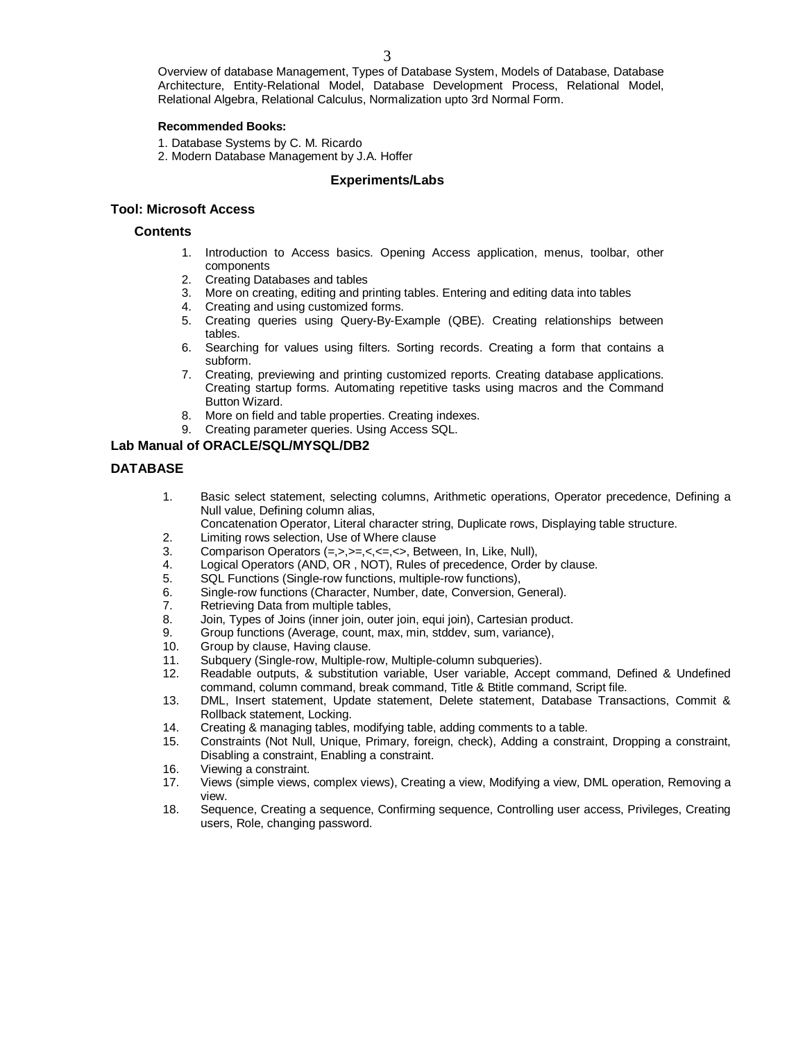Overview of database Management, Types of Database System, Models of Database, Database Architecture, Entity-Relational Model, Database Development Process, Relational Model, Relational Algebra, Relational Calculus, Normalization upto 3rd Normal Form.

## **Recommended Books:**

- 1. Database Systems by C. M. Ricardo
- 2. Modern Database Management by J.A. Hoffer

## **Experiments/Labs**

## **Tool: Microsoft Access**

## **Contents**

- 1. Introduction to Access basics. Opening Access application, menus, toolbar, other components
- 2. Creating Databases and tables
- 3. More on creating, editing and printing tables. Entering and editing data into tables
- 4. Creating and using customized forms.
- 5. Creating queries using Query-By-Example (QBE). Creating relationships between tables.
- 6. Searching for values using filters. Sorting records. Creating a form that contains a subform.
- 7. Creating, previewing and printing customized reports. Creating database applications. Creating startup forms. Automating repetitive tasks using macros and the Command Button Wizard.
- 8. More on field and table properties. Creating indexes.
- 9. Creating parameter queries. Using Access SQL.

# **Lab Manual of ORACLE/SQL/MYSQL/DB2**

# **DATABASE**

- 1. Basic select statement, selecting columns, Arithmetic operations, Operator precedence, Defining a Null value, Defining column alias,
	- Concatenation Operator, Literal character string, Duplicate rows, Displaying table structure.
- 2. Limiting rows selection, Use of Where clause<br>3. Comparison Operators  $(=, >, > =, <, < =, >)$ . Betw
- 3. Comparison Operators (=,>,>=,<,<=,<>, Between, In, Like, Null),
- 4. Logical Operators (AND, OR , NOT), Rules of precedence, Order by clause.
- 5. SQL Functions (Single-row functions, multiple-row functions),
- 6. Single-row functions (Character, Number, date, Conversion, General).<br>7. Retrieving Data from multiple tables,
- Retrieving Data from multiple tables,
- 8. Join, Types of Joins (inner join, outer join, equi join), Cartesian product.
- 9. Group functions (Average, count, max, min, stddev, sum, variance),
- 10. Group by clause, Having clause.
- 11. Subquery (Single-row, Multiple-row, Multiple-column subqueries).<br>12. Readable outputs. & substitution variable. User variable. Accer
- Readable outputs, & substitution variable, User variable, Accept command, Defined & Undefined command, column command, break command, Title & Btitle command, Script file.
- 13. DML, Insert statement, Update statement, Delete statement, Database Transactions, Commit & Rollback statement, Locking.
- 14. Creating & managing tables, modifying table, adding comments to a table.
- 15. Constraints (Not Null, Unique, Primary, foreign, check), Adding a constraint, Dropping a constraint, Disabling a constraint, Enabling a constraint.
- 16. Viewing a constraint.
- 17. Views (simple views, complex views), Creating a view, Modifying a view, DML operation, Removing a view.
- 18. Sequence, Creating a sequence, Confirming sequence, Controlling user access, Privileges, Creating users, Role, changing password.